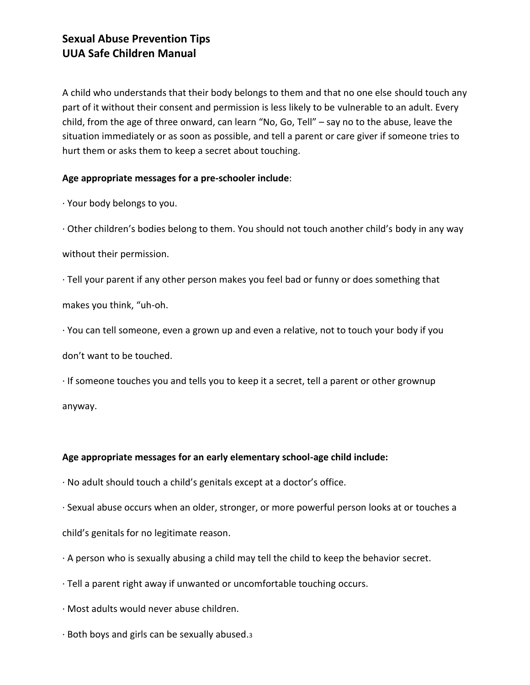## **Sexual Abuse Prevention Tips UUA Safe Children Manual**

A child who understands that their body belongs to them and that no one else should touch any part of it without their consent and permission is less likely to be vulnerable to an adult. Every child, from the age of three onward, can learn "No, Go, Tell" – say no to the abuse, leave the situation immediately or as soon as possible, and tell a parent or care giver if someone tries to hurt them or asks them to keep a secret about touching.

#### **Age appropriate messages for a pre-schooler include**:

· Your body belongs to you.

· Other children's bodies belong to them. You should not touch another child's body in any way without their permission.

· Tell your parent if any other person makes you feel bad or funny or does something that makes you think, "uh-oh.

· You can tell someone, even a grown up and even a relative, not to touch your body if you

don't want to be touched.

· If someone touches you and tells you to keep it a secret, tell a parent or other grownup anyway.

#### **Age appropriate messages for an early elementary school-age child include:**

· No adult should touch a child's genitals except at a doctor's office.

· Sexual abuse occurs when an older, stronger, or more powerful person looks at or touches a child's genitals for no legitimate reason.

- · A person who is sexually abusing a child may tell the child to keep the behavior secret.
- · Tell a parent right away if unwanted or uncomfortable touching occurs.
- · Most adults would never abuse children.
- · Both boys and girls can be sexually abused.3